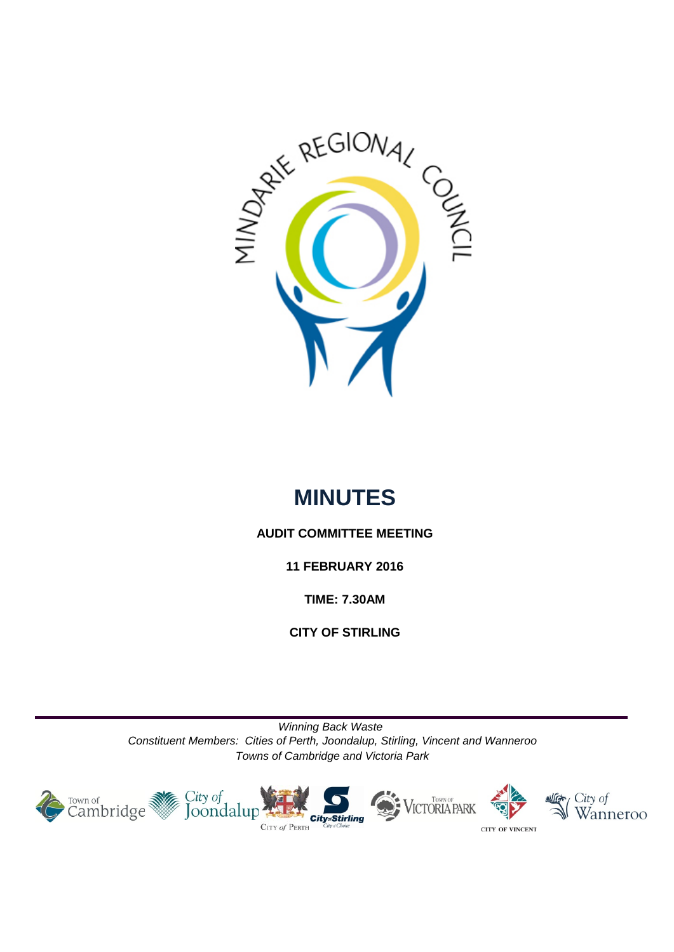

# **MINUTES**

# **AUDIT COMMITTEE MEETING**

**11 FEBRUARY 2016**

**TIME: 7.30AM**

**CITY OF STIRLING**

*Winning Back Waste Constituent Members: Cities of Perth, Joondalup, Stirling, Vincent and Wanneroo Towns of Cambridge and Victoria Park*

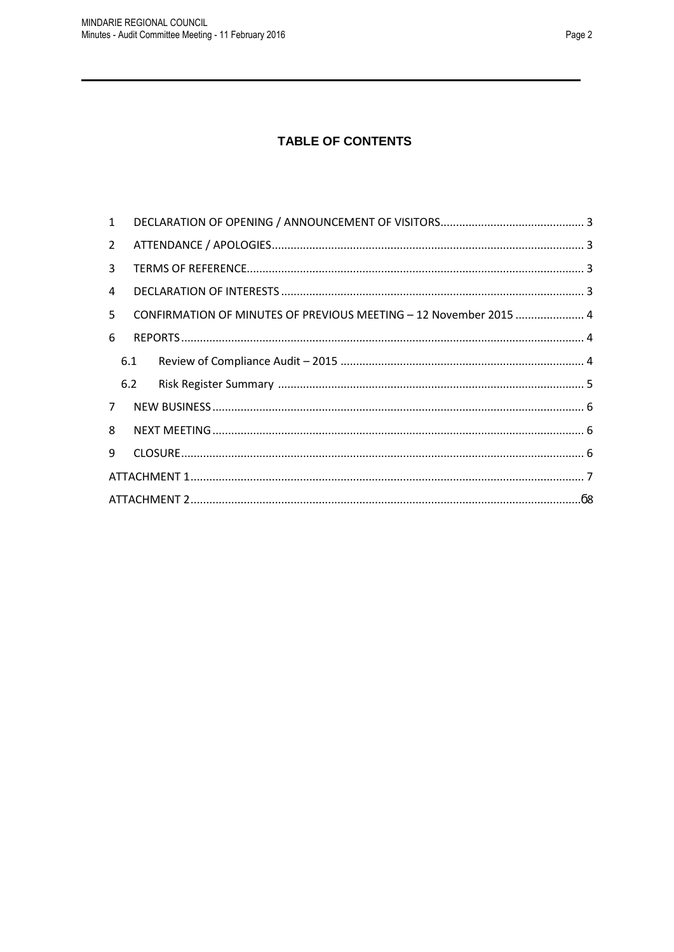# **TABLE OF CONTENTS**

| $1 \quad$    |     |                                                                   |  |  |  |
|--------------|-----|-------------------------------------------------------------------|--|--|--|
| $2^{\circ}$  |     |                                                                   |  |  |  |
| $\mathbf{3}$ |     |                                                                   |  |  |  |
| 4            |     |                                                                   |  |  |  |
| 5            |     | CONFIRMATION OF MINUTES OF PREVIOUS MEETING - 12 November 2015  4 |  |  |  |
| 6            |     |                                                                   |  |  |  |
|              | 6.1 |                                                                   |  |  |  |
|              | 6.2 |                                                                   |  |  |  |
| $7^{\circ}$  |     |                                                                   |  |  |  |
| 8            |     |                                                                   |  |  |  |
| 9            |     |                                                                   |  |  |  |
|              |     |                                                                   |  |  |  |
|              |     |                                                                   |  |  |  |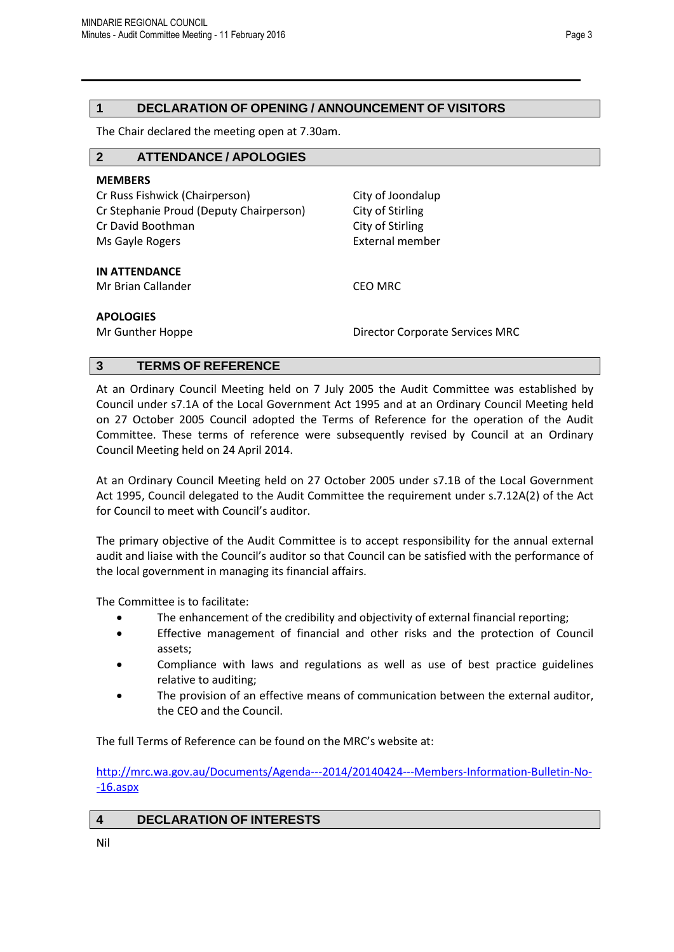## <span id="page-2-0"></span>**1 DECLARATION OF OPENING / ANNOUNCEMENT OF VISITORS**

The Chair declared the meeting open at 7.30am.

<span id="page-2-1"></span>

| $\mathbf{2}$<br><b>ATTENDANCE / APOLOGIES</b> |                                        |  |  |  |  |  |
|-----------------------------------------------|----------------------------------------|--|--|--|--|--|
| <b>MEMBERS</b>                                |                                        |  |  |  |  |  |
| Cr Russ Fishwick (Chairperson)                | City of Joondalup                      |  |  |  |  |  |
| Cr Stephanie Proud (Deputy Chairperson)       | City of Stirling                       |  |  |  |  |  |
| Cr David Boothman                             | City of Stirling                       |  |  |  |  |  |
| Ms Gayle Rogers                               | <b>External member</b>                 |  |  |  |  |  |
| <b>IN ATTENDANCE</b>                          |                                        |  |  |  |  |  |
| Mr Brian Callander                            | <b>CEO MRC</b>                         |  |  |  |  |  |
| <b>APOLOGIES</b><br>Mr Gunther Hoppe          | <b>Director Corporate Services MRC</b> |  |  |  |  |  |
|                                               |                                        |  |  |  |  |  |

## <span id="page-2-2"></span>**3 TERMS OF REFERENCE**

At an Ordinary Council Meeting held on 7 July 2005 the Audit Committee was established by Council under s7.1A of the Local Government Act 1995 and at an Ordinary Council Meeting held on 27 October 2005 Council adopted the Terms of Reference for the operation of the Audit Committee. These terms of reference were subsequently revised by Council at an Ordinary Council Meeting held on 24 April 2014.

At an Ordinary Council Meeting held on 27 October 2005 under s7.1B of the Local Government Act 1995, Council delegated to the Audit Committee the requirement under s.7.12A(2) of the Act for Council to meet with Council's auditor.

The primary objective of the Audit Committee is to accept responsibility for the annual external audit and liaise with the Council's auditor so that Council can be satisfied with the performance of the local government in managing its financial affairs.

The Committee is to facilitate:

- The enhancement of the credibility and objectivity of external financial reporting;
- Effective management of financial and other risks and the protection of Council assets;
- Compliance with laws and regulations as well as use of best practice guidelines relative to auditing;
- The provision of an effective means of communication between the external auditor, the CEO and the Council.

The full Terms of Reference can be found on the MRC's website at:

[http://mrc.wa.gov.au/Documents/Agenda---2014/20140424---Members-Information-Bulletin-No-](http://mrc.wa.gov.au/Documents/Agenda---2014/20140424---Members-Information-Bulletin-No--16.aspx) [-16.aspx](http://mrc.wa.gov.au/Documents/Agenda---2014/20140424---Members-Information-Bulletin-No--16.aspx)

<span id="page-2-3"></span>**4 DECLARATION OF INTERESTS**

Nil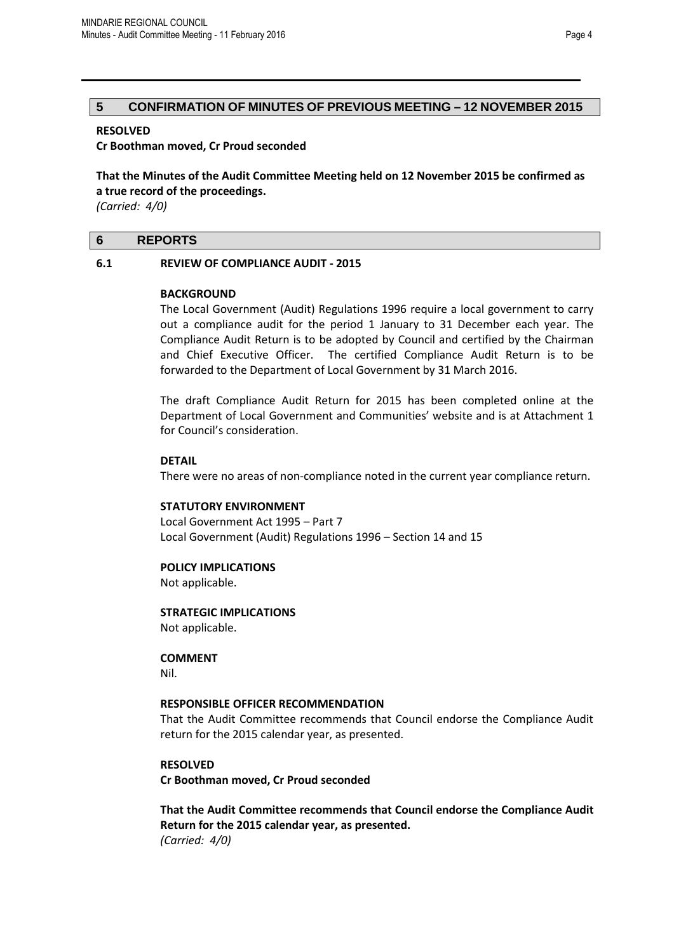### <span id="page-3-0"></span>**5 CONFIRMATION OF MINUTES OF PREVIOUS MEETING – 12 NOVEMBER 2015**

### **RESOLVED**

**Cr Boothman moved, Cr Proud seconded**

**That the Minutes of the Audit Committee Meeting held on 12 November 2015 be confirmed as a true record of the proceedings.**

*(Carried: 4/0)*

### <span id="page-3-1"></span>**6 REPORTS**

#### <span id="page-3-2"></span>**6.1 REVIEW OF COMPLIANCE AUDIT - 2015**

#### **BACKGROUND**

The Local Government (Audit) Regulations 1996 require a local government to carry out a compliance audit for the period 1 January to 31 December each year. The Compliance Audit Return is to be adopted by Council and certified by the Chairman and Chief Executive Officer. The certified Compliance Audit Return is to be forwarded to the Department of Local Government by 31 March 2016.

The draft Compliance Audit Return for 2015 has been completed online at the Department of Local Government and Communities' website and is at Attachment 1 for Council's consideration.

#### **DETAIL**

There were no areas of non-compliance noted in the current year compliance return.

#### **STATUTORY ENVIRONMENT**

Local Government Act 1995 – Part 7 Local Government (Audit) Regulations 1996 – Section 14 and 15

#### **POLICY IMPLICATIONS**

Not applicable.

**STRATEGIC IMPLICATIONS** Not applicable.

**COMMENT**

Nil.

#### **RESPONSIBLE OFFICER RECOMMENDATION**

That the Audit Committee recommends that Council endorse the Compliance Audit return for the 2015 calendar year, as presented.

#### **RESOLVED**

**Cr Boothman moved, Cr Proud seconded**

<span id="page-3-3"></span>**That the Audit Committee recommends that Council endorse the Compliance Audit Return for the 2015 calendar year, as presented.** *(Carried: 4/0)*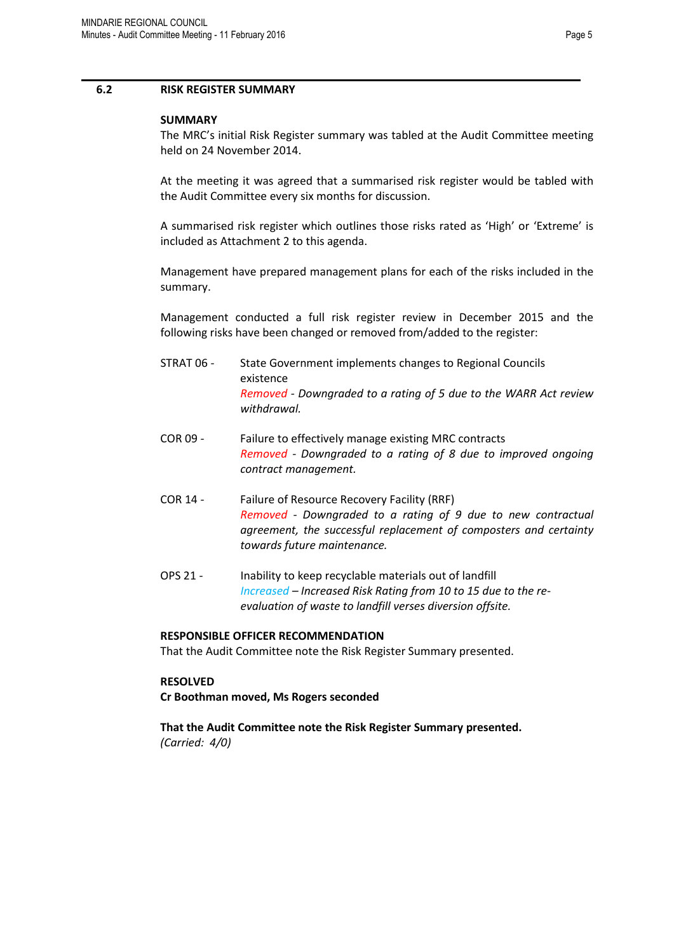#### **6.2 RISK REGISTER SUMMARY**

#### **SUMMARY**

The MRC's initial Risk Register summary was tabled at the Audit Committee meeting held on 24 November 2014.

At the meeting it was agreed that a summarised risk register would be tabled with the Audit Committee every six months for discussion.

A summarised risk register which outlines those risks rated as 'High' or 'Extreme' is included as Attachment 2 to this agenda.

Management have prepared management plans for each of the risks included in the summary.

Management conducted a full risk register review in December 2015 and the following risks have been changed or removed from/added to the register:

- STRAT 06 State Government implements changes to Regional Councils existence *Removed - Downgraded to a rating of 5 due to the WARR Act review withdrawal.*
- COR 09 Failure to effectively manage existing MRC contracts *Removed - Downgraded to a rating of 8 due to improved ongoing contract management.*
- COR 14 Failure of Resource Recovery Facility (RRF) *Removed - Downgraded to a rating of 9 due to new contractual agreement, the successful replacement of composters and certainty towards future maintenance.*
- OPS 21 Inability to keep recyclable materials out of landfill *Increased – Increased Risk Rating from 10 to 15 due to the reevaluation of waste to landfill verses diversion offsite.*

#### **RESPONSIBLE OFFICER RECOMMENDATION**

That the Audit Committee note the Risk Register Summary presented.

### **RESOLVED**

**Cr Boothman moved, Ms Rogers seconded**

**That the Audit Committee note the Risk Register Summary presented.** *(Carried: 4/0)*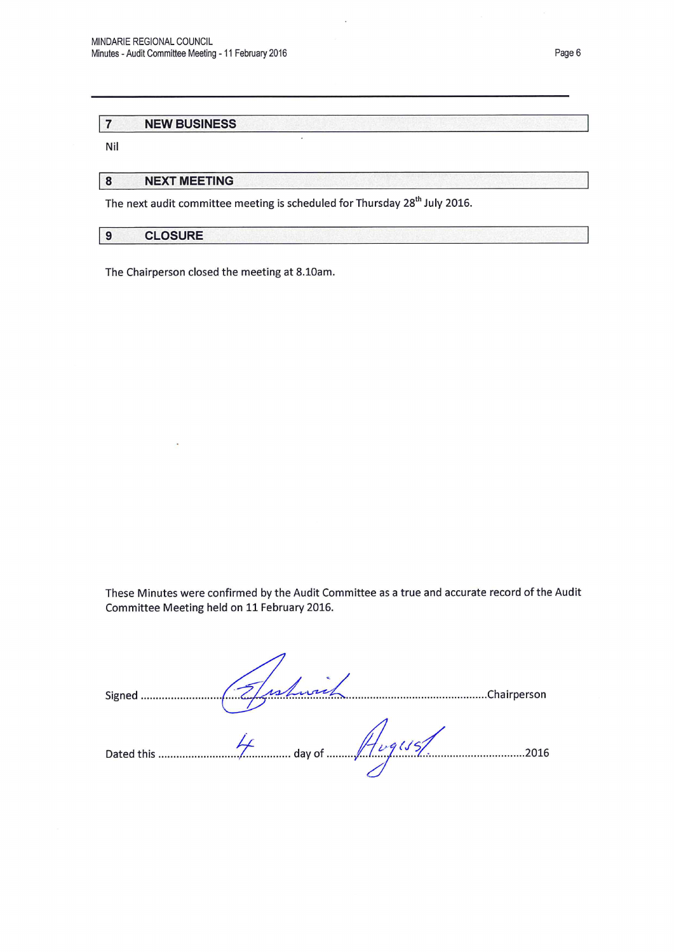#### $\overline{7}$ **NEW BUSINESS**

Nil

 $\bf{8}$ **NEXT MEETING** 

The next audit committee meeting is scheduled for Thursday 28<sup>th</sup> July 2016.

l,

 $\overline{9}$ **CLOSURE** 

The Chairperson closed the meeting at 8.10am.

These Minutes were confirmed by the Audit Committee as a true and accurate record of the Audit Committee Meeting held on 11 February 2016.

| Signed     | S.<br>una | .Chairperson |
|------------|-----------|--------------|
| Dated this | day of    | 2016         |
|            |           |              |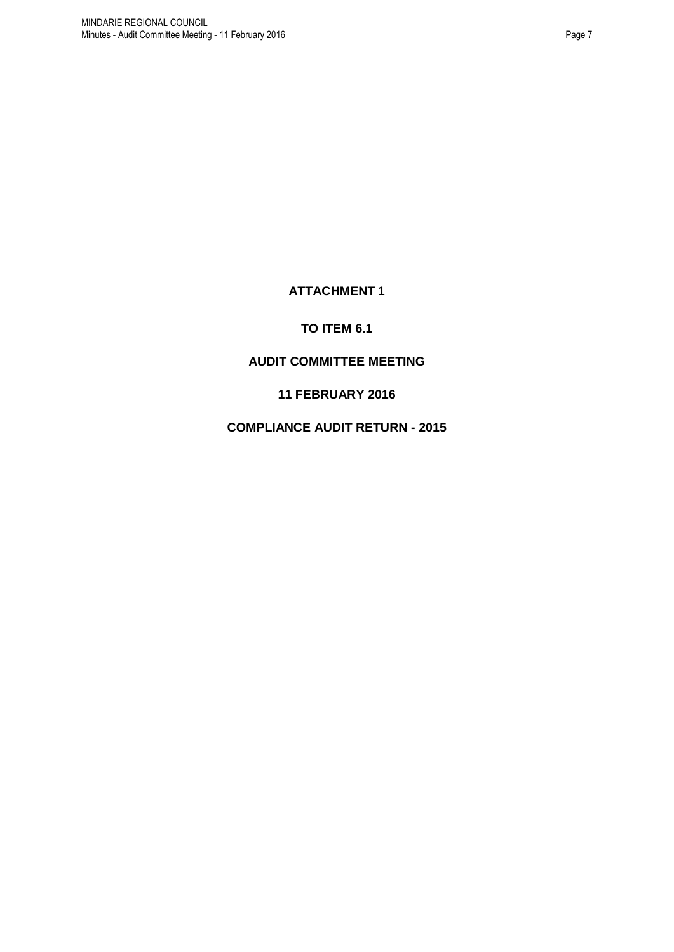# **ATTACHMENT 1**

# **TO ITEM 6.1**

# <span id="page-6-0"></span>**AUDIT COMMITTEE MEETING**

# **11 FEBRUARY 2016**

# **COMPLIANCE AUDIT RETURN - 2015**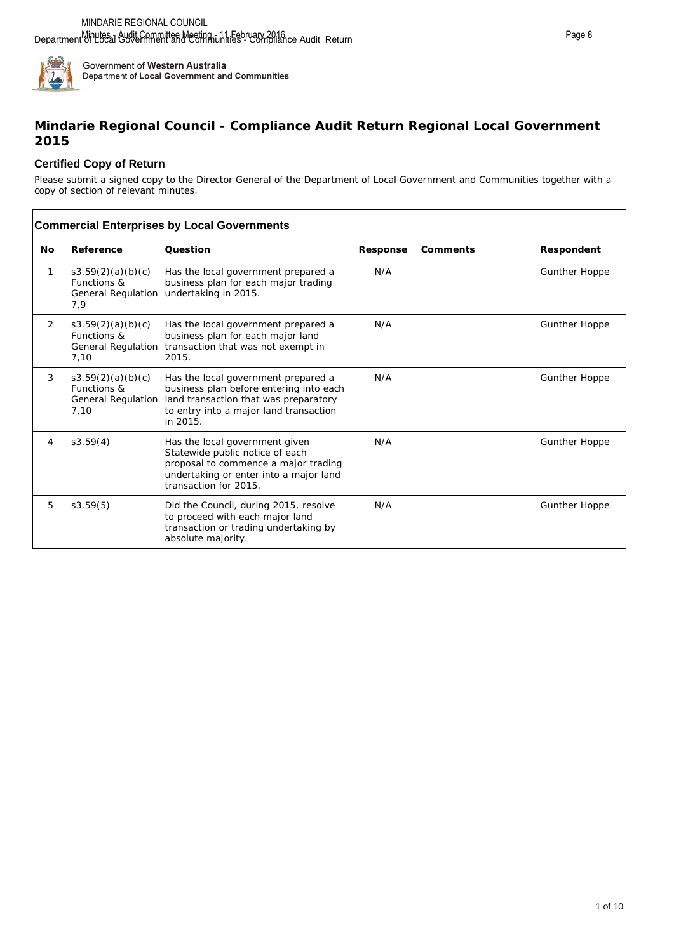

# **Mindarie Regional Council - Compliance Audit Return Regional Local Government 2015**

## **Certified Copy of Return**

Please submit a signed copy to the Director General of the Department of Local Government and Communities together with a copy of section of relevant minutes.

|           | <b>Commercial Enterprises by Local Governments</b>             |                                                                                                                                                                               |          |          |                      |  |
|-----------|----------------------------------------------------------------|-------------------------------------------------------------------------------------------------------------------------------------------------------------------------------|----------|----------|----------------------|--|
| <b>No</b> | Reference                                                      | Ouestion                                                                                                                                                                      | Response | Comments | Respondent           |  |
| 1         | s3.59(2)(a)(b)(c)<br>Functions &<br>General Regulation<br>7,9  | Has the local government prepared a<br>business plan for each major trading<br>undertaking in 2015.                                                                           | N/A      |          | <b>Gunther Hoppe</b> |  |
| 2         | s3.59(2)(a)(b)(c)<br>Functions &<br>General Regulation<br>7,10 | Has the local government prepared a<br>business plan for each major land<br>transaction that was not exempt in<br>2015.                                                       | N/A      |          | <b>Gunther Hoppe</b> |  |
| 3         | s3.59(2)(a)(b)(c)<br>Functions &<br>General Regulation<br>7,10 | Has the local government prepared a<br>business plan before entering into each<br>land transaction that was preparatory<br>to entry into a major land transaction<br>in 2015. | N/A      |          | <b>Gunther Hoppe</b> |  |
| 4         | s3.59(4)                                                       | Has the local government given<br>Statewide public notice of each<br>proposal to commence a major trading<br>undertaking or enter into a major land<br>transaction for 2015.  | N/A      |          | <b>Gunther Hoppe</b> |  |
| 5         | s3.59(5)                                                       | Did the Council, during 2015, resolve<br>to proceed with each major land<br>transaction or trading undertaking by<br>absolute majority.                                       | N/A      |          | <b>Gunther Hoppe</b> |  |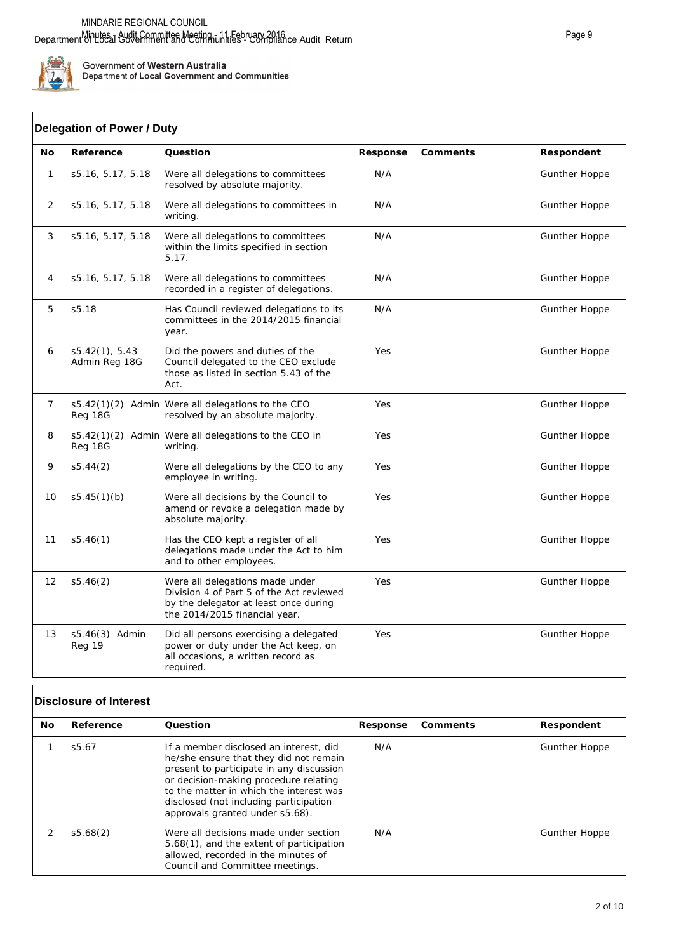

# **Delegation of Power / Duty**

| No           | Reference                       | Question                                                                                                                                              | Response | Comments | Respondent           |  |
|--------------|---------------------------------|-------------------------------------------------------------------------------------------------------------------------------------------------------|----------|----------|----------------------|--|
| $\mathbf{1}$ | s5.16, 5.17, 5.18               | Were all delegations to committees<br>resolved by absolute majority.                                                                                  | N/A      |          | <b>Gunther Hoppe</b> |  |
| 2            | s5.16, 5.17, 5.18               | Were all delegations to committees in<br>writing.                                                                                                     | N/A      |          | <b>Gunther Hoppe</b> |  |
| 3            | s5.16, 5.17, 5.18               | Were all delegations to committees<br>within the limits specified in section<br>5.17.                                                                 | N/A      |          | <b>Gunther Hoppe</b> |  |
| 4            | s5.16, 5.17, 5.18               | Were all delegations to committees<br>recorded in a register of delegations.                                                                          | N/A      |          | <b>Gunther Hoppe</b> |  |
| 5            | s5.18                           | Has Council reviewed delegations to its<br>committees in the 2014/2015 financial<br>year.                                                             | N/A      |          | <b>Gunther Hoppe</b> |  |
| 6            | s5.42(1), 5.43<br>Admin Reg 18G | Did the powers and duties of the<br>Council delegated to the CEO exclude<br>those as listed in section 5.43 of the<br>Act.                            | Yes      |          | <b>Gunther Hoppe</b> |  |
| 7            | Reg 18G                         | s5.42(1)(2) Admin Were all delegations to the CEO<br>resolved by an absolute majority.                                                                | Yes      |          | <b>Gunther Hoppe</b> |  |
| 8            | Reg 18G                         | s5.42(1)(2) Admin Were all delegations to the CEO in<br>writing.                                                                                      | Yes      |          | <b>Gunther Hoppe</b> |  |
| 9            | s5.44(2)                        | Were all delegations by the CEO to any<br>employee in writing.                                                                                        | Yes      |          | <b>Gunther Hoppe</b> |  |
| 10           | s5.45(1)(b)                     | Were all decisions by the Council to<br>amend or revoke a delegation made by<br>absolute majority.                                                    | Yes      |          | <b>Gunther Hoppe</b> |  |
| 11           | s5.46(1)                        | Has the CEO kept a register of all<br>delegations made under the Act to him<br>and to other employees.                                                | Yes      |          | <b>Gunther Hoppe</b> |  |
| 12           | s5.46(2)                        | Were all delegations made under<br>Division 4 of Part 5 of the Act reviewed<br>by the delegator at least once during<br>the 2014/2015 financial year. | Yes      |          | <b>Gunther Hoppe</b> |  |
| 13           | s5.46(3) Admin<br>Reg 19        | Did all persons exercising a delegated<br>power or duty under the Act keep, on<br>all occasions, a written record as<br>required.                     | Yes      |          | <b>Gunther Hoppe</b> |  |

# **Disclosure of Interest**

| No. | Reference | Ouestion                                                                                                                                                                                                                                                                                      | Response | Comments | Respondent           |
|-----|-----------|-----------------------------------------------------------------------------------------------------------------------------------------------------------------------------------------------------------------------------------------------------------------------------------------------|----------|----------|----------------------|
|     | s5.67     | If a member disclosed an interest, did<br>he/she ensure that they did not remain<br>present to participate in any discussion<br>or decision-making procedure relating<br>to the matter in which the interest was<br>disclosed (not including participation<br>approvals granted under s5.68). | N/A      |          | <b>Gunther Hoppe</b> |
|     | s5.68(2)  | Were all decisions made under section<br>5.68(1), and the extent of participation<br>allowed, recorded in the minutes of<br>Council and Committee meetings.                                                                                                                                   | N/A      |          | <b>Gunther Hoppe</b> |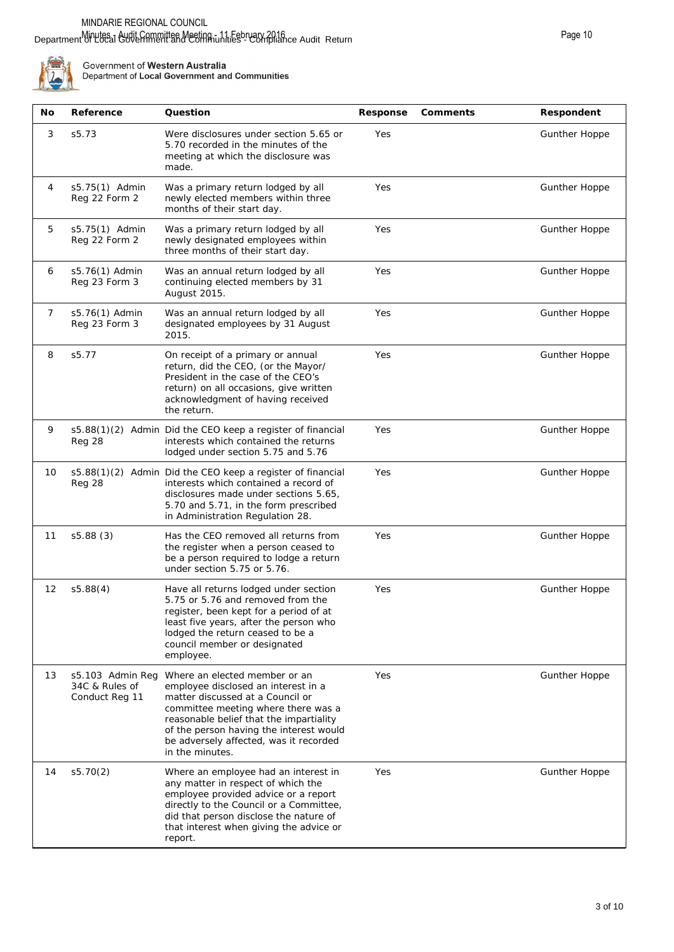#### Department of Local Government and Communities" Compliance Audit Return Minutes - Audit Committee Meeting - 11 February 2016



| No             | Reference                                            | Question                                                                                                                                                                                                                                                                                           | Response | Comments | Respondent           |
|----------------|------------------------------------------------------|----------------------------------------------------------------------------------------------------------------------------------------------------------------------------------------------------------------------------------------------------------------------------------------------------|----------|----------|----------------------|
| 3              | s5.73                                                | Were disclosures under section 5.65 or<br>5.70 recorded in the minutes of the<br>meeting at which the disclosure was<br>made.                                                                                                                                                                      | Yes      |          | <b>Gunther Hoppe</b> |
| 4              | s5.75(1) Admin<br>Reg 22 Form 2                      | Was a primary return lodged by all<br>newly elected members within three<br>months of their start day.                                                                                                                                                                                             | Yes      |          | <b>Gunther Hoppe</b> |
| 5              | s5.75(1) Admin<br>Reg 22 Form 2                      | Was a primary return lodged by all<br>newly designated employees within<br>three months of their start day.                                                                                                                                                                                        | Yes      |          | <b>Gunther Hoppe</b> |
| 6              | s5.76(1) Admin<br>Reg 23 Form 3                      | Was an annual return lodged by all<br>continuing elected members by 31<br>August 2015.                                                                                                                                                                                                             | Yes      |          | <b>Gunther Hoppe</b> |
| $\overline{7}$ | s5.76(1) Admin<br>Reg 23 Form 3                      | Was an annual return lodged by all<br>designated employees by 31 August<br>2015.                                                                                                                                                                                                                   | Yes      |          | <b>Gunther Hoppe</b> |
| 8              | s5.77                                                | On receipt of a primary or annual<br>return, did the CEO, (or the Mayor/<br>President in the case of the CEO's<br>return) on all occasions, give written<br>acknowledgment of having received<br>the return.                                                                                       | Yes      |          | <b>Gunther Hoppe</b> |
| 9              | Reg 28                                               | s5.88(1)(2) Admin Did the CEO keep a register of financial<br>interests which contained the returns<br>lodged under section 5.75 and 5.76                                                                                                                                                          | Yes      |          | <b>Gunther Hoppe</b> |
| 10             | Reg 28                                               | s5.88(1)(2) Admin Did the CEO keep a register of financial<br>interests which contained a record of<br>disclosures made under sections 5.65,<br>5.70 and 5.71, in the form prescribed<br>in Administration Regulation 28.                                                                          | Yes      |          | <b>Gunther Hoppe</b> |
| 11             | s5.88(3)                                             | Has the CEO removed all returns from<br>the register when a person ceased to<br>be a person required to lodge a return<br>under section 5.75 or 5.76.                                                                                                                                              | Yes      |          | <b>Gunther Hoppe</b> |
| 12             | s5.88(4)                                             | Have all returns lodged under section<br>5.75 or 5.76 and removed from the<br>register, been kept for a period of at<br>least five years, after the person who<br>lodged the return ceased to be a<br>council member or designated<br>employee.                                                    | Yes      |          | <b>Gunther Hoppe</b> |
| 13             | s5.103 Admin Reg<br>34C & Rules of<br>Conduct Reg 11 | Where an elected member or an<br>employee disclosed an interest in a<br>matter discussed at a Council or<br>committee meeting where there was a<br>reasonable belief that the impartiality<br>of the person having the interest would<br>be adversely affected, was it recorded<br>in the minutes. | Yes      |          | <b>Gunther Hoppe</b> |
| 14             | s5.70(2)                                             | Where an employee had an interest in<br>any matter in respect of which the<br>employee provided advice or a report<br>directly to the Council or a Committee,<br>did that person disclose the nature of<br>that interest when giving the advice or<br>report.                                      | Yes      |          | <b>Gunther Hoppe</b> |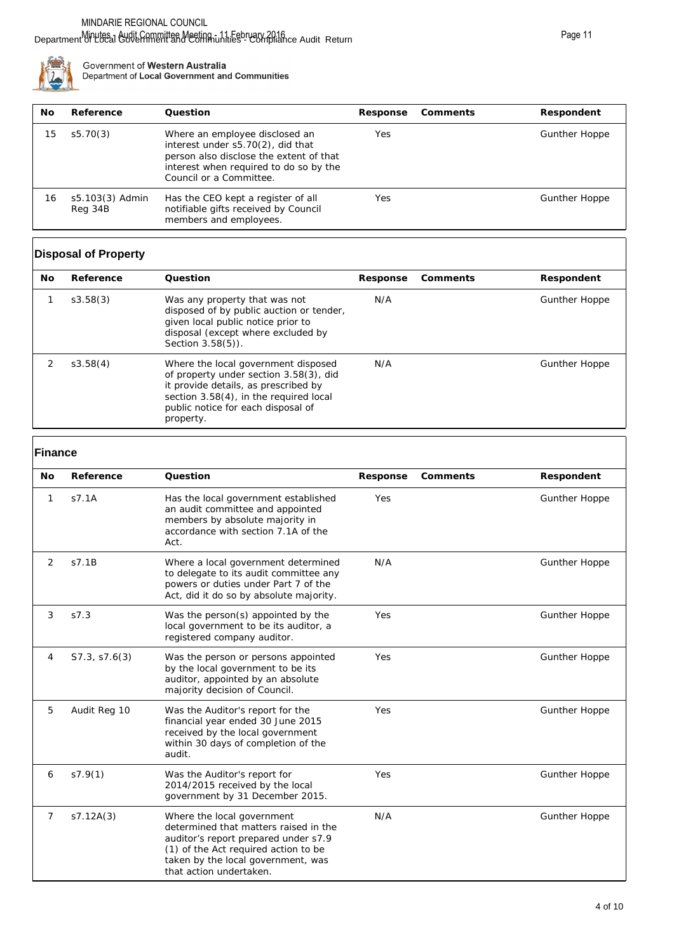

| No | Reference                  | Ouestion                                                                                                                                                                            | Response | Comments | Respondent    |
|----|----------------------------|-------------------------------------------------------------------------------------------------------------------------------------------------------------------------------------|----------|----------|---------------|
| 15 | s5.70(3)                   | Where an employee disclosed an<br>interest under s5.70(2), did that<br>person also disclose the extent of that<br>interest when required to do so by the<br>Council or a Committee. | Yes      |          | Gunther Hoppe |
| 16 | s5.103(3) Admin<br>Reg 34B | Has the CEO kept a register of all<br>notifiable gifts received by Council<br>members and employees.                                                                                | Yes      |          | Gunther Hoppe |

# **Disposal of Property**

| No | Reference | Ouestion                                                                                                                                                                                                           | Response | Comments | Respondent           |
|----|-----------|--------------------------------------------------------------------------------------------------------------------------------------------------------------------------------------------------------------------|----------|----------|----------------------|
|    | s3.58(3)  | Was any property that was not<br>disposed of by public auction or tender,<br>given local public notice prior to<br>disposal (except where excluded by<br>Section 3.58(5)).                                         | N/A      |          | <b>Gunther Hoppe</b> |
|    | s3.58(4)  | Where the local government disposed<br>of property under section 3.58(3), did<br>it provide details, as prescribed by<br>section 3.58(4), in the required local<br>public notice for each disposal of<br>property. | N/A      |          | <b>Gunther Hoppe</b> |

# **Finance**

| <b>No</b> | Reference     | Question                                                                                                                                                                                                             | Response | Comments | Respondent           |  |
|-----------|---------------|----------------------------------------------------------------------------------------------------------------------------------------------------------------------------------------------------------------------|----------|----------|----------------------|--|
| 1         | S7.1A         | Has the local government established<br>an audit committee and appointed<br>members by absolute majority in<br>accordance with section 7.1A of the<br>Act.                                                           | Yes      |          | <b>Gunther Hoppe</b> |  |
| 2         | s7.1B         | Where a local government determined<br>to delegate to its audit committee any<br>powers or duties under Part 7 of the<br>Act, did it do so by absolute majority.                                                     | N/A      |          | <b>Gunther Hoppe</b> |  |
| 3         | S7.3          | Was the person(s) appointed by the<br>local government to be its auditor, a<br>registered company auditor.                                                                                                           | Yes      |          | <b>Gunther Hoppe</b> |  |
| 4         | S7.3, S7.6(3) | Was the person or persons appointed<br>by the local government to be its<br>auditor, appointed by an absolute<br>majority decision of Council.                                                                       | Yes      |          | <b>Gunther Hoppe</b> |  |
| 5         | Audit Reg 10  | Was the Auditor's report for the<br>financial year ended 30 June 2015<br>received by the local government<br>within 30 days of completion of the<br>audit.                                                           | Yes      |          | <b>Gunther Hoppe</b> |  |
| 6         | S7.9(1)       | Was the Auditor's report for<br>2014/2015 received by the local<br>government by 31 December 2015.                                                                                                                   | Yes      |          | <b>Gunther Hoppe</b> |  |
| 7         | s7.12A(3)     | Where the local government<br>determined that matters raised in the<br>auditor's report prepared under s7.9<br>(1) of the Act required action to be<br>taken by the local government, was<br>that action undertaken. | N/A      |          | <b>Gunther Hoppe</b> |  |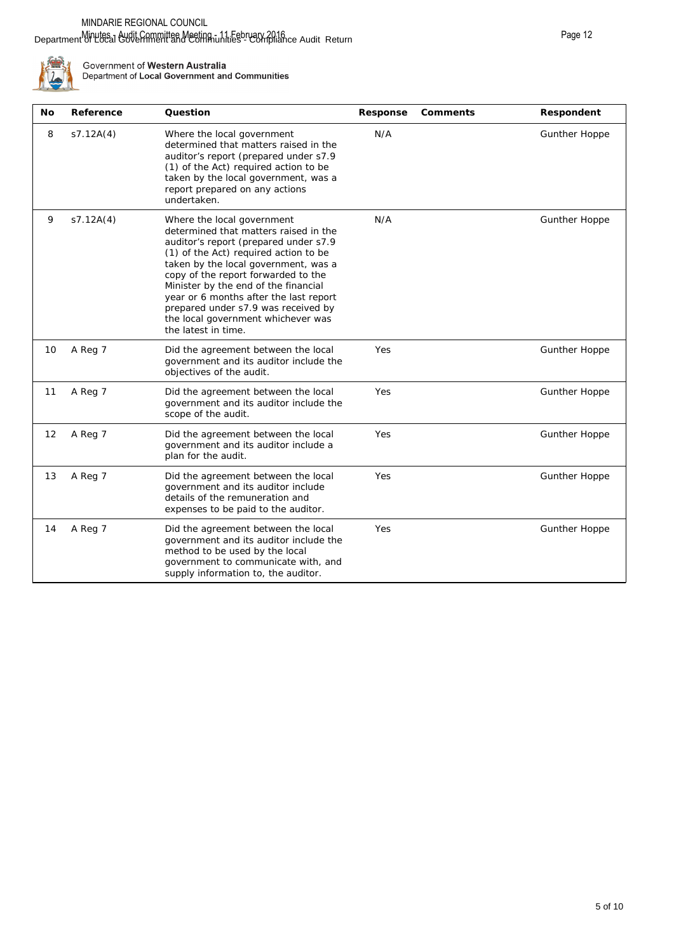#### Department of Local Government and Communities" Compliance Audit Return Minutes - Audit Committee Meeting - 11 February 2016



| No | Reference | Question                                                                                                                                                                                                                                                                                                                                                                                                                   | Response | Comments | Respondent           |
|----|-----------|----------------------------------------------------------------------------------------------------------------------------------------------------------------------------------------------------------------------------------------------------------------------------------------------------------------------------------------------------------------------------------------------------------------------------|----------|----------|----------------------|
| 8  | S7.12A(4) | Where the local government<br>determined that matters raised in the<br>auditor's report (prepared under s7.9<br>(1) of the Act) required action to be<br>taken by the local government, was a<br>report prepared on any actions<br>undertaken.                                                                                                                                                                             | N/A      |          | <b>Gunther Hoppe</b> |
| 9  | S7.12A(4) | Where the local government<br>determined that matters raised in the<br>auditor's report (prepared under s7.9<br>(1) of the Act) required action to be<br>taken by the local government, was a<br>copy of the report forwarded to the<br>Minister by the end of the financial<br>year or 6 months after the last report<br>prepared under s7.9 was received by<br>the local government whichever was<br>the latest in time. | N/A      |          | <b>Gunther Hoppe</b> |
| 10 | A Reg 7   | Did the agreement between the local<br>government and its auditor include the<br>objectives of the audit.                                                                                                                                                                                                                                                                                                                  | Yes      |          | <b>Gunther Hoppe</b> |
| 11 | A Reg 7   | Did the agreement between the local<br>government and its auditor include the<br>scope of the audit.                                                                                                                                                                                                                                                                                                                       | Yes      |          | <b>Gunther Hoppe</b> |
| 12 | A Reg 7   | Did the agreement between the local<br>government and its auditor include a<br>plan for the audit.                                                                                                                                                                                                                                                                                                                         | Yes      |          | <b>Gunther Hoppe</b> |
| 13 | A Reg 7   | Did the agreement between the local<br>government and its auditor include<br>details of the remuneration and<br>expenses to be paid to the auditor.                                                                                                                                                                                                                                                                        | Yes      |          | <b>Gunther Hoppe</b> |
| 14 | A Reg 7   | Did the agreement between the local<br>government and its auditor include the<br>method to be used by the local<br>government to communicate with, and<br>supply information to, the auditor.                                                                                                                                                                                                                              | Yes      |          | <b>Gunther Hoppe</b> |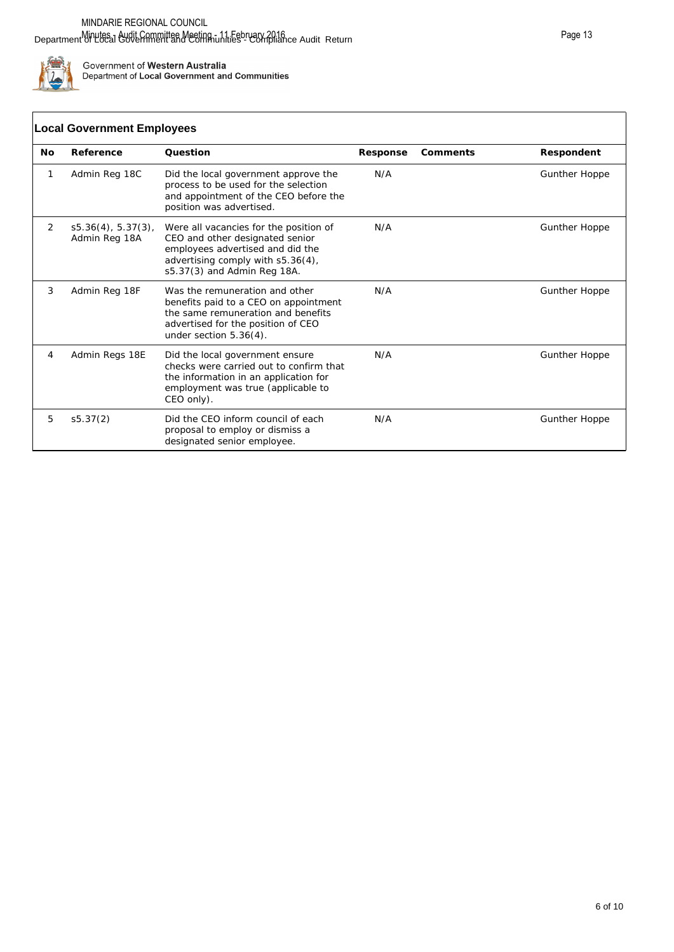

#### **No Reference Question Response Comments Respondent** 1 Admin Reg 18C Did the local government approve the process to be used for the selection and appointment of the CEO before the position was advertised. N/A Gunther Hoppe 2 s5.36(4), 5.37(3), Admin Reg 18A Were all vacancies for the position of CEO and other designated senior employees advertised and did the advertising comply with s5.36(4), s5.37(3) and Admin Reg 18A. N/A Gunther Hoppe 3 Admin Reg 18F Was the remuneration and other **Local Government Employees**

|   |                | employees advertised and did the<br>advertising comply with s5.36(4),<br>s5.37(3) and Admin Reg 18A.                                                                             |     |                      |
|---|----------------|----------------------------------------------------------------------------------------------------------------------------------------------------------------------------------|-----|----------------------|
| 3 | Admin Reg 18F  | Was the remuneration and other<br>benefits paid to a CEO on appointment<br>the same remuneration and benefits<br>advertised for the position of CEO<br>under section $5.36(4)$ . | N/A | <b>Gunther Hoppe</b> |
| 4 | Admin Regs 18E | Did the local government ensure<br>checks were carried out to confirm that<br>the information in an application for<br>employment was true (applicable to<br>CEO only).          | N/A | <b>Gunther Hoppe</b> |
| 5 | s5.37(2)       | Did the CEO inform council of each<br>proposal to employ or dismiss a<br>designated senior employee.                                                                             | N/A | <b>Gunther Hoppe</b> |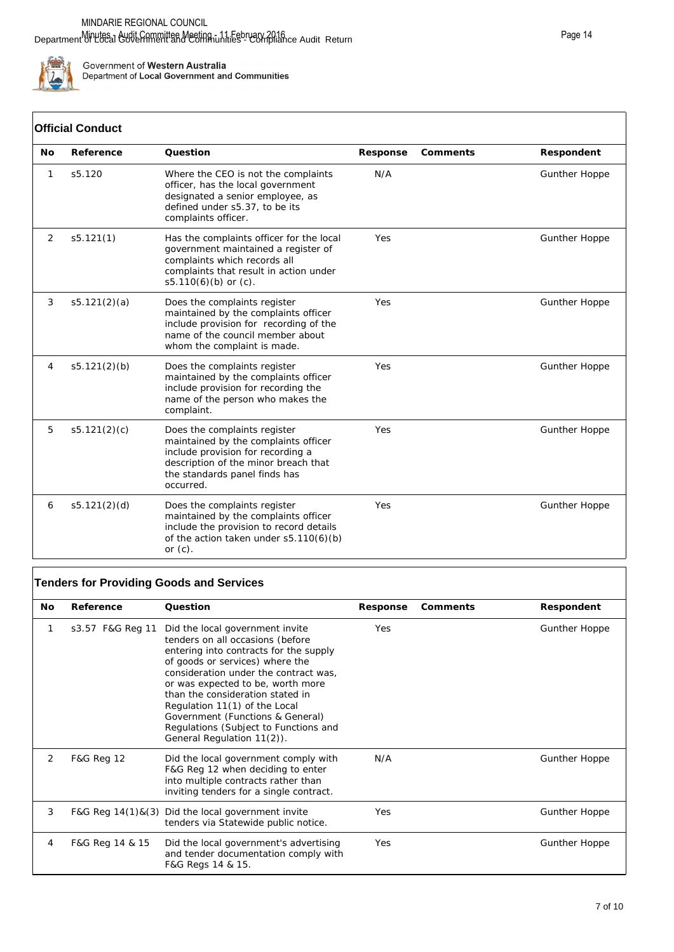

# **Official Conduct**

|    | UIIIGIAI GONQUCL |                                                                                                                                                                                                 |          |          |                      |
|----|------------------|-------------------------------------------------------------------------------------------------------------------------------------------------------------------------------------------------|----------|----------|----------------------|
| No | Reference        | Question                                                                                                                                                                                        | Response | Comments | Respondent           |
| 1  | s5.120           | Where the CEO is not the complaints<br>officer, has the local government<br>designated a senior employee, as<br>defined under s5.37, to be its<br>complaints officer.                           | N/A      |          | <b>Gunther Hoppe</b> |
| 2  | s5.121(1)        | Has the complaints officer for the local<br>government maintained a register of<br>complaints which records all<br>complaints that result in action under<br>$s5.110(6)(b)$ or (c).             | Yes      |          | Gunther Hoppe        |
| 3  | s5.121(2)(a)     | Does the complaints register<br>maintained by the complaints officer<br>include provision for recording of the<br>name of the council member about<br>whom the complaint is made.               | Yes      |          | <b>Gunther Hoppe</b> |
| 4  | s5.121(2)(b)     | Does the complaints register<br>maintained by the complaints officer<br>include provision for recording the<br>name of the person who makes the<br>complaint.                                   | Yes      |          | <b>Gunther Hoppe</b> |
| 5  | s5.121(2)(c)     | Does the complaints register<br>maintained by the complaints officer<br>include provision for recording a<br>description of the minor breach that<br>the standards panel finds has<br>occurred. | Yes      |          | <b>Gunther Hoppe</b> |
| 6  | s5.121(2)(d)     | Does the complaints register<br>maintained by the complaints officer<br>include the provision to record details<br>of the action taken under $s5.110(6)(b)$<br>or $(c)$ .                       | Yes      |          | Gunther Hoppe        |

# **Tenders for Providing Goods and Services**

| No. | Reference             | Question                                                                                                                                                                                                                                                                                                                                                                                                       | Response | Comments | Respondent           |
|-----|-----------------------|----------------------------------------------------------------------------------------------------------------------------------------------------------------------------------------------------------------------------------------------------------------------------------------------------------------------------------------------------------------------------------------------------------------|----------|----------|----------------------|
| 1   | s3.57 F&G Reg 11      | Did the local government invite<br>tenders on all occasions (before<br>entering into contracts for the supply<br>of goods or services) where the<br>consideration under the contract was,<br>or was expected to be, worth more<br>than the consideration stated in<br>Regulation 11(1) of the Local<br>Government (Functions & General)<br>Regulations (Subject to Functions and<br>General Regulation 11(2)). | Yes      |          | <b>Gunther Hoppe</b> |
| 2   | <b>F&amp;G Reg 12</b> | Did the local government comply with<br>F&G Reg 12 when deciding to enter<br>into multiple contracts rather than<br>inviting tenders for a single contract.                                                                                                                                                                                                                                                    | N/A      |          | <b>Gunther Hoppe</b> |
| 3   |                       | F&G Reg $14(1)$ &(3) Did the local government invite<br>tenders via Statewide public notice.                                                                                                                                                                                                                                                                                                                   | Yes      |          | <b>Gunther Hoppe</b> |
| 4   | F&G Reg 14 & 15       | Did the local government's advertising<br>and tender documentation comply with<br>F&G Regs 14 & 15.                                                                                                                                                                                                                                                                                                            | Yes      |          | <b>Gunther Hoppe</b> |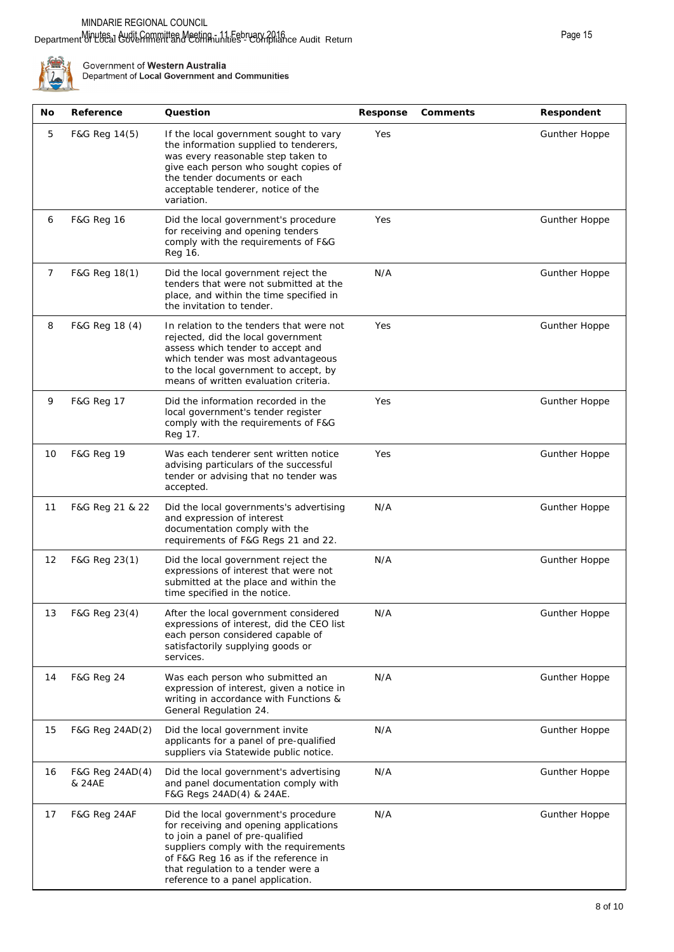#### Department of Local Government and Communities" Compliance Audit Return Minutes - Audit Committee Meeting - 11 February 2016



| No | Reference                 | Question                                                                                                                                                                                                                                                                        | Response | Comments | Respondent           |
|----|---------------------------|---------------------------------------------------------------------------------------------------------------------------------------------------------------------------------------------------------------------------------------------------------------------------------|----------|----------|----------------------|
| 5  | F&G Reg 14(5)             | If the local government sought to vary<br>the information supplied to tenderers,<br>was every reasonable step taken to<br>give each person who sought copies of<br>the tender documents or each<br>acceptable tenderer, notice of the<br>variation.                             | Yes      |          | <b>Gunther Hoppe</b> |
| 6  | <b>F&amp;G Reg 16</b>     | Did the local government's procedure<br>for receiving and opening tenders<br>comply with the requirements of F&G<br>Reg 16.                                                                                                                                                     | Yes      |          | <b>Gunther Hoppe</b> |
| 7  | F&G Reg 18(1)             | Did the local government reject the<br>tenders that were not submitted at the<br>place, and within the time specified in<br>the invitation to tender.                                                                                                                           | N/A      |          | <b>Gunther Hoppe</b> |
| 8  | F&G Reg 18 (4)            | In relation to the tenders that were not<br>rejected, did the local government<br>assess which tender to accept and<br>which tender was most advantageous<br>to the local government to accept, by<br>means of written evaluation criteria.                                     | Yes      |          | <b>Gunther Hoppe</b> |
| 9  | F&G Reg 17                | Did the information recorded in the<br>local government's tender register<br>comply with the requirements of F&G<br>Reg 17.                                                                                                                                                     | Yes      |          | <b>Gunther Hoppe</b> |
| 10 | F&G Reg 19                | Was each tenderer sent written notice<br>advising particulars of the successful<br>tender or advising that no tender was<br>accepted.                                                                                                                                           | Yes      |          | <b>Gunther Hoppe</b> |
| 11 | F&G Reg 21 & 22           | Did the local governments's advertising<br>and expression of interest<br>documentation comply with the<br>requirements of F&G Regs 21 and 22.                                                                                                                                   | N/A      |          | <b>Gunther Hoppe</b> |
| 12 | F&G Reg 23(1)             | Did the local government reject the<br>expressions of interest that were not<br>submitted at the place and within the<br>time specified in the notice.                                                                                                                          | N/A      |          | <b>Gunther Hoppe</b> |
| 13 | F&G Reg 23(4)             | After the local government considered<br>expressions of interest, did the CEO list<br>each person considered capable of<br>satisfactorily supplying goods or<br>services.                                                                                                       | N/A      |          | Gunther Hoppe        |
| 14 | F&G Reg 24                | Was each person who submitted an<br>expression of interest, given a notice in<br>writing in accordance with Functions &<br>General Regulation 24.                                                                                                                               | N/A      |          | Gunther Hoppe        |
| 15 | F&G Reg 24AD(2)           | Did the local government invite<br>applicants for a panel of pre-qualified<br>suppliers via Statewide public notice.                                                                                                                                                            | N/A      |          | <b>Gunther Hoppe</b> |
| 16 | F&G Reg 24AD(4)<br>& 24AE | Did the local government's advertising<br>and panel documentation comply with<br>F&G Regs 24AD(4) & 24AE.                                                                                                                                                                       | N/A      |          | <b>Gunther Hoppe</b> |
| 17 | F&G Reg 24AF              | Did the local government's procedure<br>for receiving and opening applications<br>to join a panel of pre-qualified<br>suppliers comply with the requirements<br>of F&G Reg 16 as if the reference in<br>that regulation to a tender were a<br>reference to a panel application. | N/A      |          | <b>Gunther Hoppe</b> |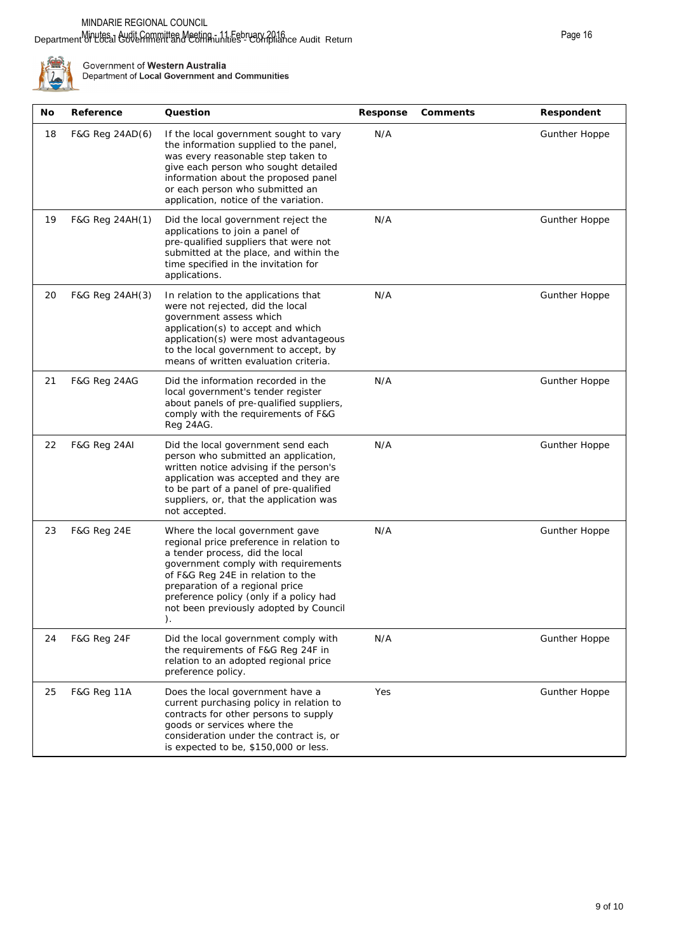#### Department of Local Government and Communities" Compliance Audit Return Minutes - Audit Committee Meeting - 11 February 2016



| No | Reference               | Question                                                                                                                                                                                                                                                                                                                 | Response | Comments | Respondent           |
|----|-------------------------|--------------------------------------------------------------------------------------------------------------------------------------------------------------------------------------------------------------------------------------------------------------------------------------------------------------------------|----------|----------|----------------------|
| 18 | F&G Reg 24AD(6)         | If the local government sought to vary<br>the information supplied to the panel,<br>was every reasonable step taken to<br>give each person who sought detailed<br>information about the proposed panel<br>or each person who submitted an<br>application, notice of the variation.                                       | N/A      |          | Gunther Hoppe        |
| 19 | F&G Reg 24AH(1)         | Did the local government reject the<br>applications to join a panel of<br>pre-qualified suppliers that were not<br>submitted at the place, and within the<br>time specified in the invitation for<br>applications.                                                                                                       | N/A      |          | Gunther Hoppe        |
| 20 | F&G Reg 24AH(3)         | In relation to the applications that<br>were not rejected, did the local<br>government assess which<br>application(s) to accept and which<br>application(s) were most advantageous<br>to the local government to accept, by<br>means of written evaluation criteria.                                                     | N/A      |          | <b>Gunther Hoppe</b> |
| 21 | <b>F&amp;G Reg 24AG</b> | Did the information recorded in the<br>local government's tender register<br>about panels of pre-qualified suppliers,<br>comply with the requirements of F&G<br>Reg 24AG.                                                                                                                                                | N/A      |          | Gunther Hoppe        |
| 22 | F&G Reg 24AI            | Did the local government send each<br>person who submitted an application,<br>written notice advising if the person's<br>application was accepted and they are<br>to be part of a panel of pre-qualified<br>suppliers, or, that the application was<br>not accepted.                                                     | N/A      |          | <b>Gunther Hoppe</b> |
| 23 | <b>F&amp;G Reg 24E</b>  | Where the local government gave<br>regional price preference in relation to<br>a tender process, did the local<br>government comply with requirements<br>of F&G Reg 24E in relation to the<br>preparation of a regional price<br>preference policy (only if a policy had<br>not been previously adopted by Council<br>). | N/A      |          | <b>Gunther Hoppe</b> |
| 24 | <b>F&amp;G Reg 24F</b>  | Did the local government comply with<br>the requirements of F&G Reg 24F in<br>relation to an adopted regional price<br>preference policy.                                                                                                                                                                                | N/A      |          | Gunther Hoppe        |
| 25 | <b>F&amp;G Reg 11A</b>  | Does the local government have a<br>current purchasing policy in relation to<br>contracts for other persons to supply<br>goods or services where the<br>consideration under the contract is, or<br>is expected to be, \$150,000 or less.                                                                                 | Yes      |          | Gunther Hoppe        |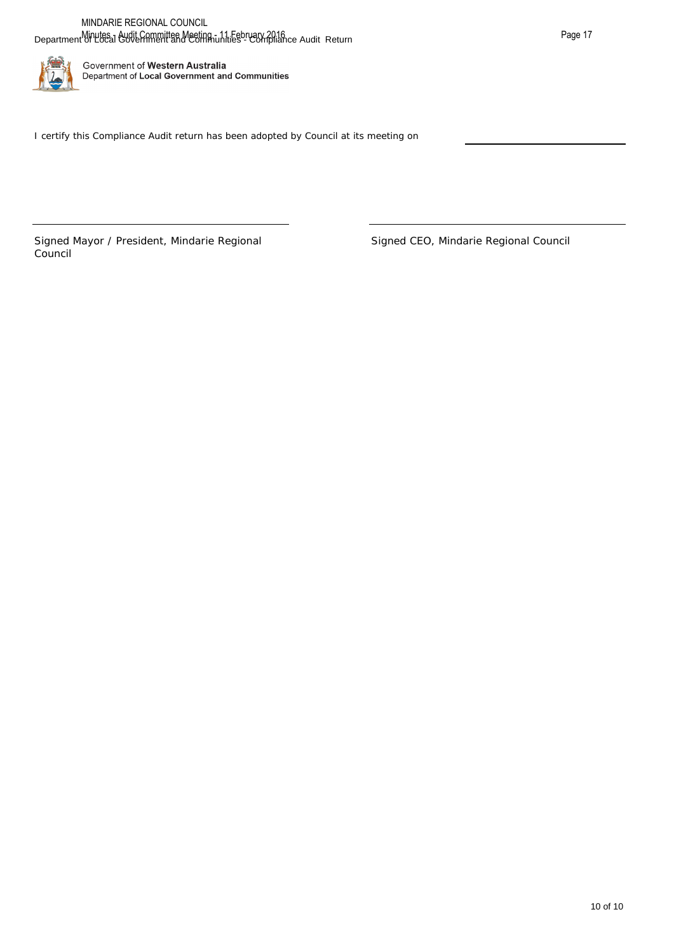

Signed Mayor / President, Mindarie Regional Council

Signed CEO, Mindarie Regional Council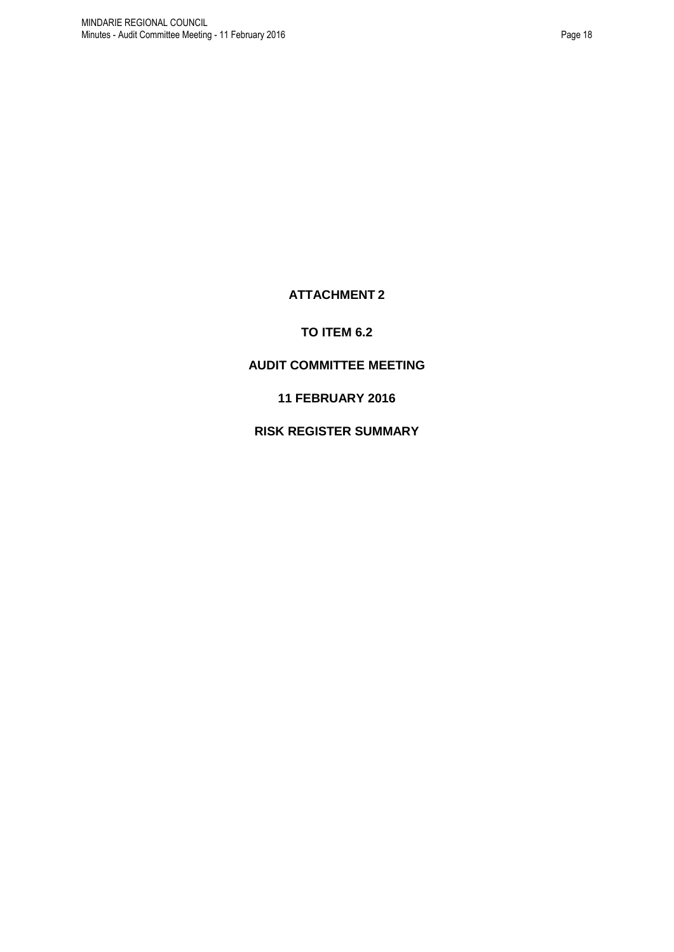# **ATTACHMENT 2**

# **TO ITEM 6.2**

# <span id="page-17-0"></span>**AUDIT COMMITTEE MEETING**

**11 FEBRUARY 2016**

**RISK REGISTER SUMMARY**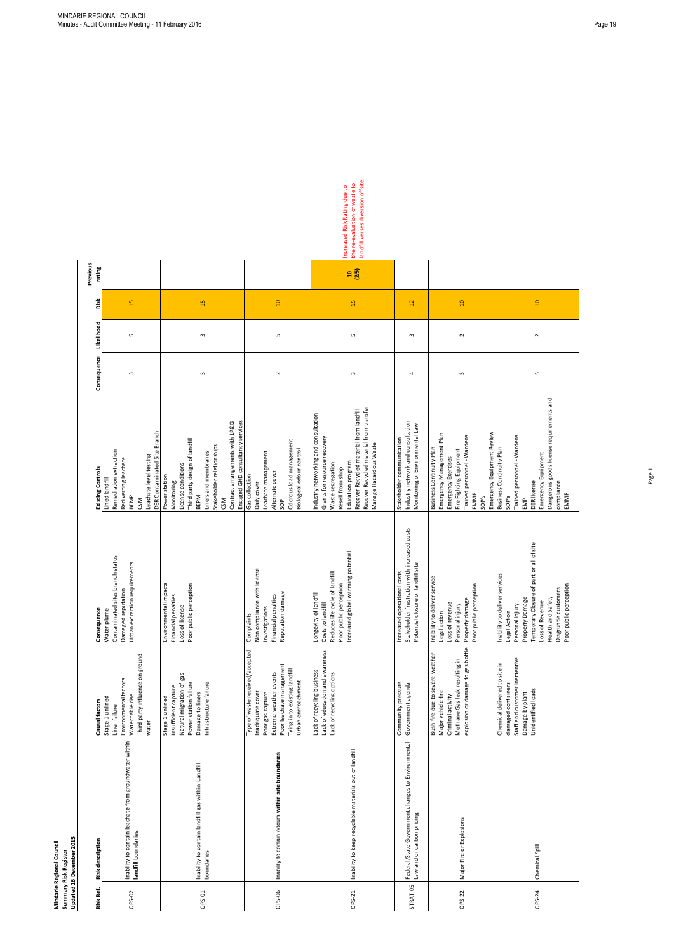| Updated 16 December 2015 |
|--------------------------|
|                          |
| Summary Risk Register    |

|                                                        | Causal factors                                                                                                                                                                       | Consequence                                                                                                                                                                                                                             | <b>Existing Controls</b>                                                                                                                                                                                                                           | Consequence  | Likelihood | Risk            | Previous<br>rating |
|--------------------------------------------------------|--------------------------------------------------------------------------------------------------------------------------------------------------------------------------------------|-----------------------------------------------------------------------------------------------------------------------------------------------------------------------------------------------------------------------------------------|----------------------------------------------------------------------------------------------------------------------------------------------------------------------------------------------------------------------------------------------------|--------------|------------|-----------------|--------------------|
| Inability to contain leachate from groundwater within  | Third party influence on ground<br>Environmental factors<br>Water table rise<br>Stage 1 unlined<br>Liner failure<br>water                                                            | Contaminated sites branch status<br>Urban extraction requirements<br>Damaged reputation<br>Water plume                                                                                                                                  | DER Contaminated Site Branch<br>Remediation extraction<br>Leachate level testing<br>Rediverting leachate<br>Lined landfill<br><b>BEMP</b><br>CSM                                                                                                   | $\mathsf{c}$ | S          | 5               |                    |
|                                                        | Natural migration of gas<br>Infrastructure failure<br>Power station failure<br>Insufficient capture<br>Damage to liners<br>Stage 1 unlined                                           | Environmental impacts<br>Poor public perception<br>Financial penalties<br>Loss of license                                                                                                                                               | Engaged GHD consultancy services<br>Contract arrangements with LP&G<br>Third party design of landfill<br>Stakeholder relationships<br>Liners and membranes<br>License conditions<br>Power station<br>Monitoring<br><b>BEPM</b><br>CSM              | LN.          | $\,$ $\,$  | $\overline{13}$ |                    |
| Inability to contain odours within site boundaries     | Type of waste received/accepted<br>Poor leachate management<br>Tying in to existing landfill<br>Extreme weather events<br>Urban encroachment<br>Inadequate cover<br>Poor gas capture | Non compliance with license<br>Reputation damage<br>Financial penalties<br>Investigations<br>Complaints                                                                                                                                 | Odorous load management<br>Biological odour control<br>Leachate management<br>Alternate cover<br>Gas collection<br>Daily cover<br>\$                                                                                                               | $\sim$       | LŊ         | $\overline{a}$  |                    |
| Inability to keep recyclable materials out of landfill | Lack of education and awareness<br>Lack of recycling business<br>Lack of recycling options                                                                                           | global warming potential<br>Reduces life cycle of landfill<br>Poor public perception<br>Longevity of landfill<br>Costs to landfill<br>Increased                                                                                         | Recover Recycled material from transfer<br>Recover Recycled material from landfill<br>Industry networking and consultation<br>Grants for resource recovery<br>Manage Hazardous Waste<br>Education program<br>Waste segregation<br>Resell from shop | $\sim$       | S          | $\overline{13}$ | (2/5)<br>ę         |
| Federal/State Government changes to Environmental      | Community pressure<br>Government agenda                                                                                                                                              | Stakeholder frustration with increased costs<br>Potential closure of landfill site<br>operational costs<br>Increased                                                                                                                    | Industry network and consultation<br>Monitoring of Environmental Law<br>Stakeholder communication                                                                                                                                                  | 4            | 3          | $\overline{5}$  |                    |
|                                                        | explosion or damage to gas bottle<br>Bush fire due to severe weather<br>Methane Gas leak resulting in<br>Major vehicle fire<br>Criminal activity                                     | deliver service<br>Poor public perception<br>Property damage<br>Loss of revenue<br>Personal injury<br>Legal action<br>Inability to                                                                                                      | Emergency Equipment Review<br>Emergency Management Plan<br>Trained personnel - Wardens<br>Business Continuity Plan<br>Fire Fighting Equipment<br>Emergency Exercises<br>EMMP<br>SOP's                                                              | S            | $\sim$     | $\overline{a}$  |                    |
|                                                        | Staff and customer inattentive<br>Chemical delivered to site in<br>damaged containers<br>Unidentified loads<br>Damage by plant                                                       | Temporary Closure of part or all of site<br>Inability to deliver services<br>Poor public perception<br>Disgruntle customers<br>Health and Safety<br>Property Damage<br>Loss of Revenue<br>Personal injury<br>$\subseteq$<br>Legal Actio | Dangerous goods license requirements and<br>Trained personnel - Wardens<br>Business Continuity Plan<br>Emergency Equipment<br>compliance<br><b>DER</b> license<br>EMMP<br>SOP's<br>EMP                                                             | LŊ           | $\sim$     | $\Omega$        |                    |

Increased Risk Rating due to<br>the re-evaluation of waste to<br>landfill verses diversion offsite. landfill verses diversion offsite. the re-evaluation of waste to Increased Risk Rating due to

| Risk Ref.       | <b>Risk description</b>                                                        | Causal factors                                                                                                                           |
|-----------------|--------------------------------------------------------------------------------|------------------------------------------------------------------------------------------------------------------------------------------|
| OPS-02          | Inability to contain leachate from groundwater within<br>landfill boundaries.  | Environmental fa<br>Third party influe<br>Water table rise<br>Stage 1 unlined<br>Liner failure<br>water                                  |
| <b>OPS-01</b>   | Inability to contain landfill gas within Landfill<br>boundaries                | Insufficient captu<br>Natural migration<br>Power station fai<br>Damage to liners<br>Infrastructure fai<br>Stage 1 unlined                |
| OPS-06          | Inability to contain odours within site boundaries                             | Type of waste re<br>Inadequate cove<br>Poor gas capture<br>Extreme weather<br>Poor leachate ma<br>Tying in to existir<br>Urban encroachr |
| OPS-21          | Inability to keep recyclable materials out of landfill                         | Lack of education<br>Lack of recycling<br>Lack of recycling                                                                              |
| <b>STRAT-05</b> | Federal/State Government changes to Environmental<br>Law and or carbon pricing | Community press<br>Government age                                                                                                        |
| OPS-22          | Major Fire or Explosions                                                       | Bush fire due to s<br>Major vehicle fire<br>Methane Gas lea<br>explosion or dam<br>Criminal activity                                     |
| OPS-24          | Chemical Spill                                                                 | Chemical deliver<br>damaged contair<br>Staff and custom<br>Damage by plant<br>Unidentified load                                          |